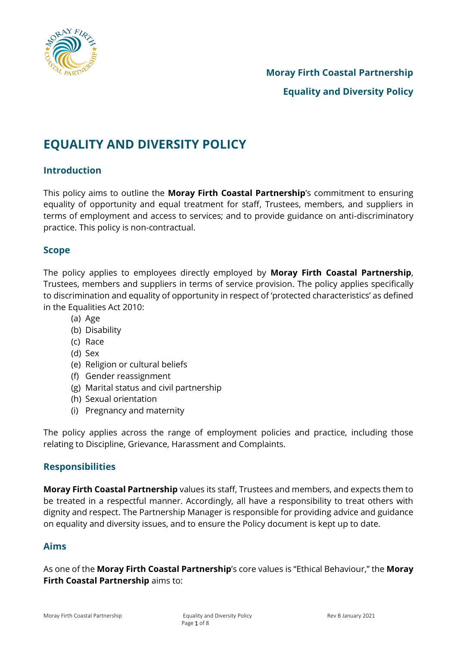

# **EQUALITY AND DIVERSITY POLICY**

# **Introduction**

This policy aims to outline the **Moray Firth Coastal Partnership**'s commitment to ensuring equality of opportunity and equal treatment for staff, Trustees, members, and suppliers in terms of employment and access to services; and to provide guidance on anti-discriminatory practice. This policy is non-contractual.

## **Scope**

The policy applies to employees directly employed by **Moray Firth Coastal Partnership**, Trustees, members and suppliers in terms of service provision. The policy applies specifically to discrimination and equality of opportunity in respect of 'protected characteristics' as defined in the Equalities Act 2010:

- (a) Age
- (b) Disability
- (c) Race
- (d) Sex
- (e) Religion or cultural beliefs
- (f) Gender reassignment
- (g) Marital status and civil partnership
- (h) Sexual orientation
- (i) Pregnancy and maternity

The policy applies across the range of employment policies and practice, including those relating to Discipline, Grievance, Harassment and Complaints.

## **Responsibilities**

**Moray Firth Coastal Partnership** values its staff, Trustees and members, and expects them to be treated in a respectful manner. Accordingly, all have a responsibility to treat others with dignity and respect. The Partnership Manager is responsible for providing advice and guidance on equality and diversity issues, and to ensure the Policy document is kept up to date.

## **Aims**

As one of the **Moray Firth Coastal Partnership**'s core values is "Ethical Behaviour," the **Moray Firth Coastal Partnership** *aims* **to:**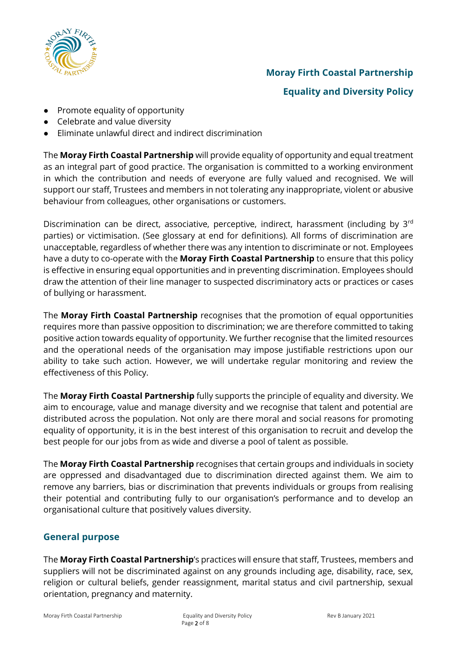

# **Moray Firth Coastal Partnership Equality and Diversity Policy**

- Promote equality of opportunity
- Celebrate and value diversity
- Eliminate unlawful direct and indirect discrimination

The **Moray Firth Coastal Partnership** will provide equality of opportunity and equal treatment as an integral part of good practice. The organisation is committed to a working environment in which the contribution and needs of everyone are fully valued and recognised. We will support our staff, Trustees and members in not tolerating any inappropriate, violent or abusive behaviour from colleagues, other organisations or customers.

Discrimination can be direct, associative, perceptive, indirect, harassment (including by 3<sup>rd</sup> parties) or victimisation. (See glossary at end for definitions). All forms of discrimination are unacceptable, regardless of whether there was any intention to discriminate or not. Employees have a duty to co-operate with the **Moray Firth Coastal Partnership** to ensure that this policy is effective in ensuring equal opportunities and in preventing discrimination. Employees should draw the attention of their line manager to suspected discriminatory acts or practices or cases of bullying or harassment.

The **Moray Firth Coastal Partnership** recognises that the promotion of equal opportunities requires more than passive opposition to discrimination; we are therefore committed to taking positive action towards equality of opportunity. We further recognise that the limited resources and the operational needs of the organisation may impose justifiable restrictions upon our ability to take such action. However, we will undertake regular monitoring and review the effectiveness of this Policy.

The **Moray Firth Coastal Partnership** fully supports the principle of equality and diversity. We aim to encourage, value and manage diversity and we recognise that talent and potential are distributed across the population. Not only are there moral and social reasons for promoting equality of opportunity, it is in the best interest of this organisation to recruit and develop the best people for our jobs from as wide and diverse a pool of talent as possible.

The **Moray Firth Coastal Partnership** recognises that certain groups and individuals in society are oppressed and disadvantaged due to discrimination directed against them. We aim to remove any barriers, bias or discrimination that prevents individuals or groups from realising their potential and contributing fully to our organisation's performance and to develop an organisational culture that positively values diversity.

# **General purpose**

The **Moray Firth Coastal Partnership**'s practices will ensure that staff, Trustees, members and suppliers will not be discriminated against on any grounds including age, disability, race, sex, religion or cultural beliefs, gender reassignment, marital status and civil partnership, sexual orientation, pregnancy and maternity.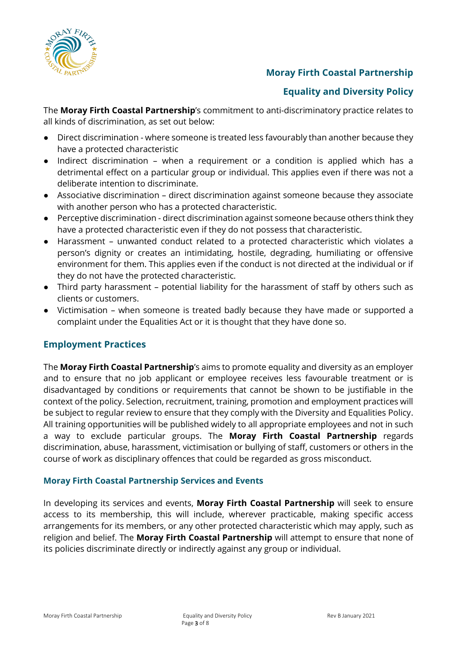

# **Equality and Diversity Policy**

The **Moray Firth Coastal Partnership**'s commitment to anti-discriminatory practice relates to all kinds of discrimination, as set out below:

- Direct discrimination where someone is treated less favourably than another because they have a protected characteristic
- Indirect discrimination when a requirement or a condition is applied which has a detrimental effect on a particular group or individual. This applies even if there was not a deliberate intention to discriminate.
- Associative discrimination direct discrimination against someone because they associate with another person who has a protected characteristic.
- Perceptive discrimination direct discrimination against someone because others think they have a protected characteristic even if they do not possess that characteristic.
- Harassment unwanted conduct related to a protected characteristic which violates a person's dignity or creates an intimidating, hostile, degrading, humiliating or offensive environment for them. This applies even if the conduct is not directed at the individual or if they do not have the protected characteristic.
- Third party harassment potential liability for the harassment of staff by others such as clients or customers.
- Victimisation when someone is treated badly because they have made or supported a complaint under the Equalities Act or it is thought that they have done so.

# **Employment Practices**

The **Moray Firth Coastal Partnership**'s aims to promote equality and diversity as an employer and to ensure that no job applicant or employee receives less favourable treatment or is disadvantaged by conditions or requirements that cannot be shown to be justifiable in the context of the policy. Selection, recruitment, training, promotion and employment practices will be subject to regular review to ensure that they comply with the Diversity and Equalities Policy. All training opportunities will be published widely to all appropriate employees and not in such a way to exclude particular groups. The **Moray Firth Coastal Partnership** regards discrimination, abuse, harassment, victimisation or bullying of staff, customers or others in the course of work as disciplinary offences that could be regarded as gross misconduct.

## **Moray Firth Coastal Partnership Services and Events**

In developing its services and events, **Moray Firth Coastal Partnership** will seek to ensure access to its membership, this will include, wherever practicable, making specific access arrangements for its members, or any other protected characteristic which may apply, such as religion and belief. The **Moray Firth Coastal Partnership** will attempt to ensure that none of its policies discriminate directly or indirectly against any group or individual.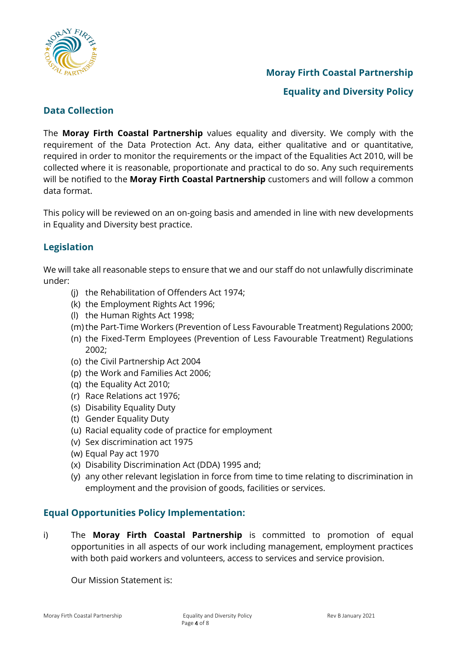

**Equality and Diversity Policy**

# **Data Collection**

The **Moray Firth Coastal Partnership** values equality and diversity. We comply with the requirement of the Data Protection Act. Any data, either qualitative and or quantitative, required in order to monitor the requirements or the impact of the Equalities Act 2010, will be collected where it is reasonable, proportionate and practical to do so. Any such requirements will be notified to the **Moray Firth Coastal Partnership** customers and will follow a common data format.

This policy will be reviewed on an on-going basis and amended in line with new developments in Equality and Diversity best practice.

# **Legislation**

We will take all reasonable steps to ensure that we and our staff do not unlawfully discriminate under:

- (j) the Rehabilitation of Offenders Act 1974;
- (k) the Employment Rights Act 1996;
- (l) the Human Rights Act 1998;
- (m)the Part-Time Workers (Prevention of Less Favourable Treatment) Regulations 2000;
- (n) the Fixed-Term Employees (Prevention of Less Favourable Treatment) Regulations 2002;
- (o) the Civil Partnership Act 2004
- (p) the Work and Families Act 2006;
- (q) the Equality Act 2010;
- (r) Race Relations act 1976;
- (s) Disability Equality Duty
- (t) Gender Equality Duty
- (u) Racial equality code of practice for employment
- (v) Sex discrimination act 1975
- (w) Equal Pay act 1970
- (x) Disability Discrimination Act (DDA) 1995 and;
- (y) any other relevant legislation in force from time to time relating to discrimination in employment and the provision of goods, facilities or services.

## **Equal Opportunities Policy Implementation:**

i) The **Moray Firth Coastal Partnership** is committed to promotion of equal opportunities in all aspects of our work including management, employment practices with both paid workers and volunteers, access to services and service provision.

Our Mission Statement is: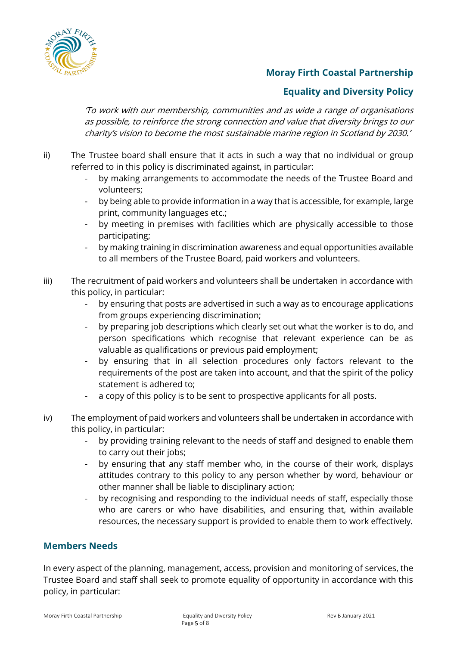

# **Equality and Diversity Policy**

'To work with our membership, communities and as wide a range of organisations as possible, to reinforce the strong connection and value that diversity brings to our charity's vision to become the most sustainable marine region in Scotland by 2030.'

- ii) The Trustee board shall ensure that it acts in such a way that no individual or group referred to in this policy is discriminated against, in particular:
	- by making arrangements to accommodate the needs of the Trustee Board and volunteers;
	- by being able to provide information in a way that is accessible, for example, large print, community languages etc.;
	- by meeting in premises with facilities which are physically accessible to those participating;
	- by making training in discrimination awareness and equal opportunities available to all members of the Trustee Board, paid workers and volunteers.
- iii) The recruitment of paid workers and volunteers shall be undertaken in accordance with this policy, in particular:
	- by ensuring that posts are advertised in such a way as to encourage applications from groups experiencing discrimination;
	- by preparing job descriptions which clearly set out what the worker is to do, and person specifications which recognise that relevant experience can be as valuable as qualifications or previous paid employment;
	- by ensuring that in all selection procedures only factors relevant to the requirements of the post are taken into account, and that the spirit of the policy statement is adhered to;
	- a copy of this policy is to be sent to prospective applicants for all posts.
- iv) The employment of paid workers and volunteers shall be undertaken in accordance with this policy, in particular:
	- by providing training relevant to the needs of staff and designed to enable them to carry out their jobs;
	- by ensuring that any staff member who, in the course of their work, displays attitudes contrary to this policy to any person whether by word, behaviour or other manner shall be liable to disciplinary action;
	- by recognising and responding to the individual needs of staff, especially those who are carers or who have disabilities, and ensuring that, within available resources, the necessary support is provided to enable them to work effectively.

## **Members Needs**

In every aspect of the planning, management, access, provision and monitoring of services, the Trustee Board and staff shall seek to promote equality of opportunity in accordance with this policy, in particular: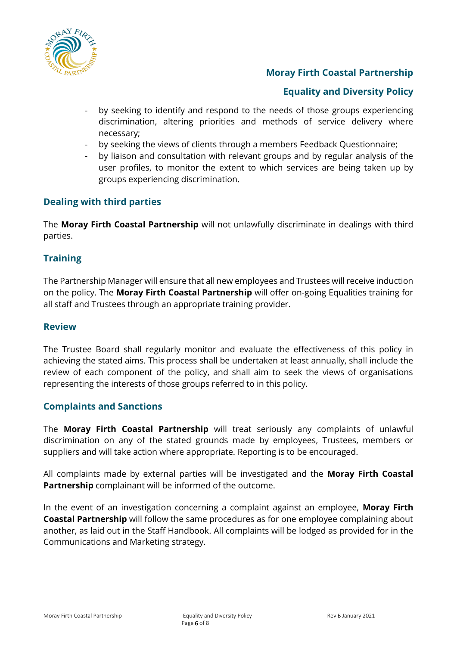

# **Equality and Diversity Policy**

- by seeking to identify and respond to the needs of those groups experiencing discrimination, altering priorities and methods of service delivery where necessary;
- by seeking the views of clients through a members Feedback Questionnaire;
- by liaison and consultation with relevant groups and by regular analysis of the user profiles, to monitor the extent to which services are being taken up by groups experiencing discrimination.

## **Dealing with third parties**

The **Moray Firth Coastal Partnership** will not unlawfully discriminate in dealings with third parties.

## **Training**

The Partnership Manager will ensure that all new employees and Trustees will receive induction on the policy. The **Moray Firth Coastal Partnership** will offer on-going Equalities training for all staff and Trustees through an appropriate training provider.

## **Review**

The Trustee Board shall regularly monitor and evaluate the effectiveness of this policy in achieving the stated aims. This process shall be undertaken at least annually, shall include the review of each component of the policy, and shall aim to seek the views of organisations representing the interests of those groups referred to in this policy.

## **Complaints and Sanctions**

The **Moray Firth Coastal Partnership** will treat seriously any complaints of unlawful discrimination on any of the stated grounds made by employees, Trustees, members or suppliers and will take action where appropriate. Reporting is to be encouraged.

All complaints made by external parties will be investigated and the **Moray Firth Coastal Partnership** complainant will be informed of the outcome.

In the event of an investigation concerning a complaint against an employee, **Moray Firth Coastal Partnership** will follow the same procedures as for one employee complaining about another, as laid out in the Staff Handbook. All complaints will be lodged as provided for in the Communications and Marketing strategy.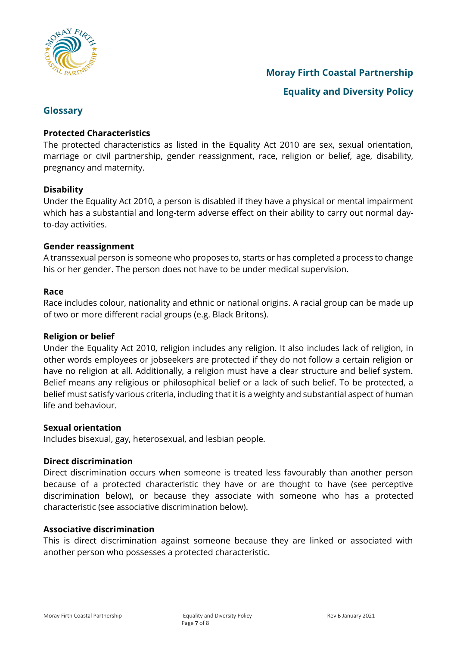

**Equality and Diversity Policy**

## **Glossary**

## **Protected Characteristics**

The protected characteristics as listed in the Equality Act 2010 are sex, sexual orientation, marriage or civil partnership, gender reassignment, race, religion or belief, age, disability, pregnancy and maternity.

### **Disability**

Under the Equality Act 2010, a person is disabled if they have a physical or mental impairment which has a substantial and long-term adverse effect on their ability to carry out normal dayto-day activities.

### **Gender reassignment**

A transsexual person is someone who proposes to, starts or has completed a process to change his or her gender. The person does not have to be under medical supervision.

#### **Race**

Race includes colour, nationality and ethnic or national origins. A racial group can be made up of two or more different racial groups (e.g. Black Britons).

#### **Religion or belief**

Under the Equality Act 2010, religion includes any religion. It also includes lack of religion, in other words employees or jobseekers are protected if they do not follow a certain religion or have no religion at all. Additionally, a religion must have a clear structure and belief system. Belief means any religious or philosophical belief or a lack of such belief. To be protected, a belief must satisfy various criteria, including that it is a weighty and substantial aspect of human life and behaviour.

#### **Sexual orientation**

Includes bisexual, gay, heterosexual, and lesbian people.

#### **Direct discrimination**

Direct discrimination occurs when someone is treated less favourably than another person because of a protected characteristic they have or are thought to have (see perceptive discrimination below), or because they associate with someone who has a protected characteristic (see associative discrimination below).

#### **Associative discrimination**

This is direct discrimination against someone because they are linked or associated with another person who possesses a protected characteristic.